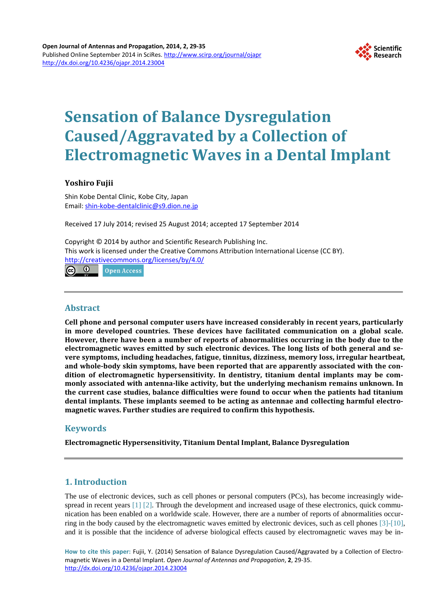

# **Sensation of Balance Dysregulation Caused/Aggravated by a Collection of Electromagnetic Waves in a Dental Implant**

# **Yoshiro Fujii**

Shin Kobe Dental Clinic, Kobe City, Japan Email: [shin-kobe-dentalclinic@s9.dion.ne.jp](mailto:shin-kobe-dentalclinic@s9.dion.ne.jp)

Received 17 July 2014; revised 25 August 2014; accepted 17 September 2014

Copyright © 2014 by author and Scientific Research Publishing Inc. This work is licensed under the Creative Commons Attribution International License (CC BY). <http://creativecommons.org/licenses/by/4.0/>

**© © Open Access** 

# **Abstract**

**Cell phone and personal computer users have increased considerably in recent years, particularly in more developed countries. These devices have facilitated communication on a global scale. However, there have been a number of reports of abnormalities occurring in the body due to the electromagnetic waves emitted by such electronic devices. The long lists of both general and severe symptoms, including headaches, fatigue, tinnitus, dizziness, memory loss, irregular heartbeat, and whole-body skin symptoms, have been reported that are apparently associated with the condition of electromagnetic hypersensitivity. In dentistry, titanium dental implants may be commonly associated with antenna-like activity, but the underlying mechanism remains unknown. In the current case studies, balance difficulties were found to occur when the patients had titanium dental implants. These implants seemed to be acting as antennae and collecting harmful electromagnetic waves. Further studies are required to confirm this hypothesis.**

# **Keywords**

**Electromagnetic Hypersensitivity, Titanium Dental Implant, Balance Dysregulation**

# **1. Introduction**

The use of electronic devices, such as cell phones or personal computers (PCs), has become increasingly wide-spread in recent years [\[1\]](#page-5-0) [\[2\].](#page-5-1) Through the development and increased usage of these electronics, quick communication has been enabled on a worldwide scale. However, there are a number of reports of abnormalities occurring in the body caused by the electromagnetic waves emitted by electronic devices, such as cell phones [\[3\]-](#page-5-2)[\[10\],](#page-5-3) and it is possible that the incidence of adverse biological effects caused by electromagnetic waves may be in-

**How to cite this paper:** Fujii, Y. (2014) Sensation of Balance Dysregulation Caused/Aggravated by a Collection of Electromagnetic Waves in a Dental Implant. *Open Journal of Antennas and Propagation*, **2**, 29-35. <http://dx.doi.org/10.4236/ojapr.2014.23004>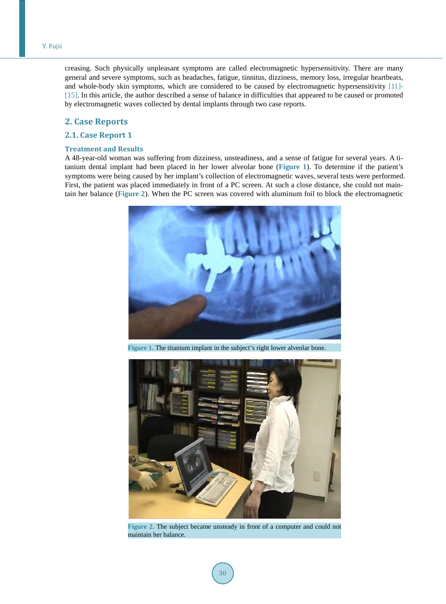creasing. Such physically unpleasant symptoms are called electromagnetic hypersensitivity. There are many general and severe symptoms, such as headaches, fatigue, tinnitus, dizziness, memory loss, irregular heartbeats, and whole-body skin symptoms, which are considered to be caused by electromagnetic hypersensitivity [\[11\]-](#page-5-4) [\[15\].](#page-5-5) In this article, the author described a sense of balance in difficulties that appeared to be caused or promoted by electromagnetic waves collected by dental implants through two case reports.

## **2. Case Reports**

## **2.1. Case Report 1**

#### **Treatment and Results**

<span id="page-1-0"></span>A 48-year-old woman was suffering from dizziness, unsteadiness, and a sense of fatigue for several years. A titanium dental implant had been placed in her lower alveolar bone (**[Figure](#page-1-0) 1**). To determine if the patient's symptoms were being caused by her implant's collection of electromagnetic waves, several tests were performed. First, the patient was placed immediately in front of a PC screen. At such a close distance, she could not maintain her balance (**[Figure](#page-1-1) 2**). When the PC screen was covered with aluminum foil to block the electromagnetic



**Figure 1.** The titanium implant in the subject's right lower alveolar bone.

<span id="page-1-1"></span>

**Figure 2.** The subject became unsteady in front of a computer and could not maintain her balance.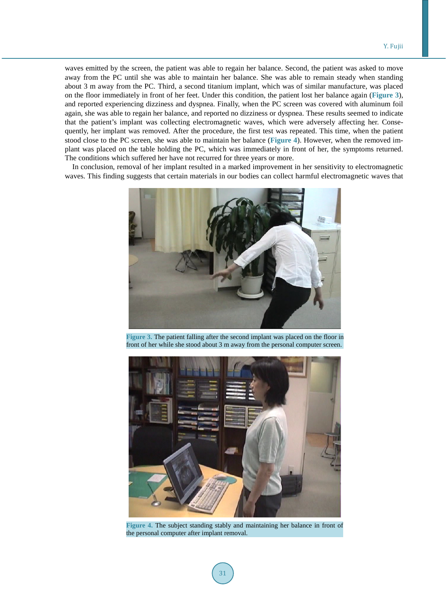waves emitted by the screen, the patient was able to regain her balance. Second, the patient was asked to move away from the PC until she was able to maintain her balance. She was able to remain steady when standing about 3 m away from the PC. Third, a second titanium implant, which was of similar manufacture, was placed on the floor immediately in front of her feet. Under this condition, the patient lost her balance again (**[Figure](#page-2-0) 3**), and reported experiencing dizziness and dyspnea. Finally, when the PC screen was covered with aluminum foil again, she was able to regain her balance, and reported no dizziness or dyspnea. These results seemed to indicate that the patient's implant was collecting electromagnetic waves, which were adversely affecting her. Consequently, her implant was removed. After the procedure, the first test was repeated. This time, when the patient stood close to the PC screen, she was able to maintain her balance (**[Figure](#page-2-1) 4**). However, when the removed implant was placed on the table holding the PC, which was immediately in front of her, the symptoms returned. The conditions which suffered her have not recurred for three years or more.

<span id="page-2-0"></span>In conclusion, removal of her implant resulted in a marked improvement in her sensitivity to electromagnetic waves. This finding suggests that certain materials in our bodies can collect harmful electromagnetic waves that



**Figure 3.** The patient falling after the second implant was placed on the floor in front of her while she stood about 3 m away from the personal computer screen.

<span id="page-2-1"></span>

**Figure 4.** The subject standing stably and maintaining her balance in front of the personal computer after implant removal.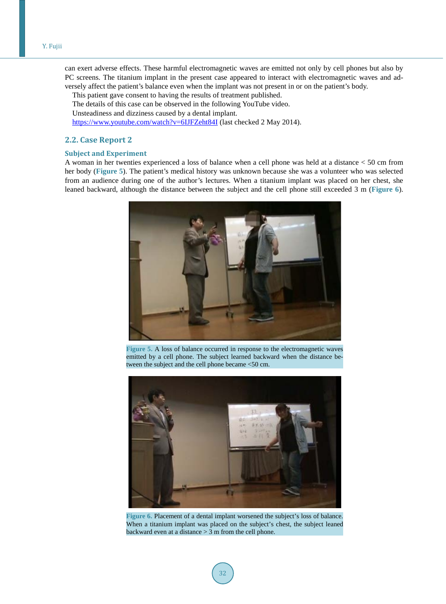can exert adverse effects. These harmful electromagnetic waves are emitted not only by cell phones but also by PC screens. The titanium implant in the present case appeared to interact with electromagnetic waves and adversely affect the patient's balance even when the implant was not present in or on the patient's body.

This patient gave consent to having the results of treatment published. The details of this case can be observed in the following YouTube video. Unsteadiness and dizziness caused by a dental implant. <https://www.youtube.com/watch?v=6IJFZeht84I> (last checked 2 May 2014).

## **2.2. Case Report 2**

### **Subject and Experiment**

<span id="page-3-0"></span>A woman in her twenties experienced a loss of balance when a cell phone was held at a distance < 50 cm from her body (**[Figure](#page-3-0) 5**). The patient's medical history was unknown because she was a volunteer who was selected from an audience during one of the author's lectures. When a titanium implant was placed on her chest, she leaned backward, although the distance between the subject and the cell phone still exceeded 3 m (**[Figure](#page-3-1) 6**).



**Figure 5.** A loss of balance occurred in response to the electromagnetic waves emitted by a cell phone. The subject learned backward when the distance between the subject and the cell phone became <50 cm.

<span id="page-3-1"></span>

**Figure 6.** Placement of a dental implant worsened the subject's loss of balance. When a titanium implant was placed on the subject's chest, the subject leaned backward even at a distance > 3 m from the cell phone.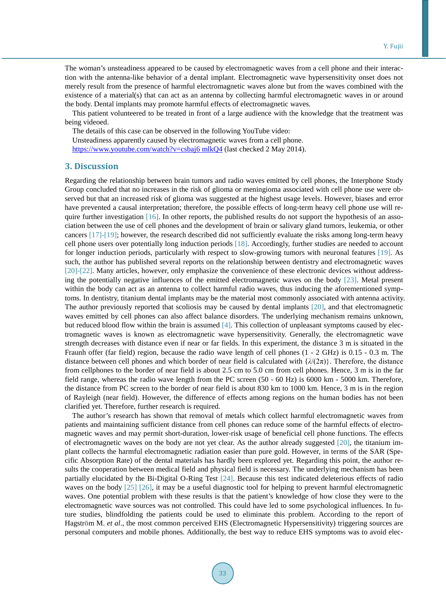The woman's unsteadiness appeared to be caused by electromagnetic waves from a cell phone and their interaction with the antenna-like behavior of a dental implant. Electromagnetic wave hypersensitivity onset does not merely result from the presence of harmful electromagnetic waves alone but from the waves combined with the existence of a material(s) that can act as an antenna by collecting harmful electromagnetic waves in or around the body. Dental implants may promote harmful effects of electromagnetic waves.

This patient volunteered to be treated in front of a large audience with the knowledge that the treatment was being videoed.

The details of this case can be observed in the following YouTube video: Unsteadiness apparently caused by electromagnetic waves from a cell phone. [https://www.youtube.com/watch?v=csbaj6 mlkQ4](https://www.youtube.com/watch?v=csbaj6mlkQ4) (last checked 2 May 2014).

## **3. Discussion**

Regarding the relationship between brain tumors and radio waves emitted by cell phones, the Interphone Study Group concluded that no increases in the risk of glioma or meningioma associated with cell phone use were observed but that an increased risk of glioma was suggested at the highest usage levels. However, biases and error have prevented a causal interpretation; therefore, the possible effects of long-term heavy cell phone use will require further investigation  $[16]$ . In other reports, the published results do not support the hypothesis of an association between the use of cell phones and the development of brain or salivary gland tumors, leukemia, or other cancers [\[17\]](#page-6-0)[-\[19\];](#page-6-1) however, the research described did not sufficiently evaluate the risks among long-term heavy cell phone users over potentially long induction periods [\[18\].](#page-6-2) Accordingly, further studies are needed to account for longer induction periods, particularly with respect to slow-growing tumors with neuronal features [\[19\].](#page-6-1) As such, the author has published several reports on the relationship between dentistry and electromagnetic waves [\[20\]](#page-6-3)[-\[22\].](#page-6-4) Many articles, however, only emphasize the convenience of these electronic devices without addressing the potentially negative influences of the emitted electromagnetic waves on the body [\[23\].](#page-6-5) Metal present within the body can act as an antenna to collect harmful radio waves, thus inducing the aforementioned symptoms. In dentistry, titanium dental implants may be the material most commonly associated with antenna activity. The author previously reported that scoliosis may be caused by dental implants [\[20\],](#page-6-3) and that electromagnetic waves emitted by cell phones can also affect balance disorders. The underlying mechanism remains unknown, but reduced blood flow within the brain is assumed [\[4\].](#page-5-7) This collection of unpleasant symptoms caused by electromagnetic waves is known as electromagnetic wave hypersensitivity. Generally, the electromagnetic wave strength decreases with distance even if near or far fields. In this experiment, the distance 3 m is situated in the Fraunh offer (far field) region, because the radio wave length of cell phones (1 - 2 GHz) is 0.15 - 0.3 m. The distance between cell phones and which border of near field is calculated with  $\{\lambda/(2\pi)\}\.$  Therefore, the distance from cellphones to the border of near field is about 2.5 cm to 5.0 cm from cell phones. Hence, 3 m is in the far field range, whereas the radio wave length from the PC screen (50 - 60 Hz) is 6000 km - 5000 km. Therefore, the distance from PC screen to the border of near field is about 830 km to 1000 km. Hence, 3 m is in the region of Rayleigh (near field). However, the difference of effects among regions on the human bodies has not been clarified yet. Therefore, further research is required.

The author's research has shown that removal of metals which collect harmful electromagnetic waves from patients and maintaining sufficient distance from cell phones can reduce some of the harmful effects of electromagnetic waves and may permit short-duration, lower-risk usage of beneficial cell phone functions. The effects of electromagnetic waves on the body are not yet clear. As the author already suggested [\[20\],](#page-6-3) the titanium implant collects the harmful electromagnetic radiation easier than pure gold. However, in terms of the SAR (Specific Absorption Rate) of the dental materials has hardly been explored yet. Regarding this point, the author results the cooperation between medical field and physical field is necessary. The underlying mechanism has been partially elucidated by the Bi-Digital O-Ring Test [\[24\].](#page-6-6) Because this test indicated deleterious effects of radio waves on the body [\[25\]](#page-6-7) [\[26\],](#page-6-8) it may be a useful diagnostic tool for helping to prevent harmful electromagnetic waves. One potential problem with these results is that the patient's knowledge of how close they were to the electromagnetic wave sources was not controlled. This could have led to some psychological influences. In future studies, blindfolding the patients could be used to eliminate this problem. According to the report of Hagström M. *et al*., the most common perceived EHS (Electromagnetic Hypersensitivity) triggering sources are personal computers and mobile phones. Additionally, the best way to reduce EHS symptoms was to avoid elec-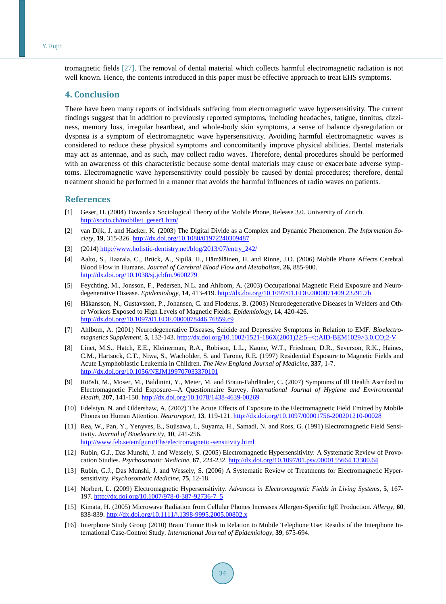#### Y. Fujii

tromagnetic fields [\[27\].](#page-6-9) The removal of dental material which collects harmful electromagnetic radiation is not well known. Hence, the contents introduced in this paper must be effective approach to treat EHS symptoms.

## **4. Conclusion**

There have been many reports of individuals suffering from electromagnetic wave hypersensitivity. The current findings suggest that in addition to previously reported symptoms, including headaches, fatigue, tinnitus, dizziness, memory loss, irregular heartbeat, and whole-body skin symptoms, a sense of balance dysregulation or dyspnea is a symptom of electromagnetic wave hypersensitivity. Avoiding harmful electromagnetic waves is considered to reduce these physical symptoms and concomitantly improve physical abilities. Dental materials may act as antennae, and as such, may collect radio waves. Therefore, dental procedures should be performed with an awareness of this characteristic because some dental materials may cause or exacerbate adverse symptoms. Electromagnetic wave hypersensitivity could possibly be caused by dental procedures; therefore, dental treatment should be performed in a manner that avoids the harmful influences of radio waves on patients.

#### **References**

- <span id="page-5-0"></span>[1] Geser, H. (2004) Towards a Sociological Theory of the Mobile Phone, Release 3.0. University of Zurich. [http://socio.ch/mobile/t\\_geser1.htm/](http://socio.ch/mobile/t_geser1.htm/)
- <span id="page-5-1"></span>[2] van Dijk, J. and Hacker, K. (2003) The Digital Divide as a Complex and Dynamic Phenomenon. *The Information Society*, **19**, 315-326. <http://dx.doi.org/10.1080/01972240309487>
- <span id="page-5-2"></span>[3] (2014) [http://www.holistic-dentistry.net/blog/2013/07/entry\\_242/](http://www.holistic-dentistry.net/blog/2013/07/entry_242/)
- <span id="page-5-7"></span>[4] Aalto, S., Haarala, C., Brück, A., Sipilä, H., Hämäläinen, H. and Rinne, J.O. (2006) Mobile Phone Affects Cerebral Blood Flow in Humans. *Journal of Cerebral Blood Flow and Metabolism*, **26**, 885-900. <http://dx.doi.org/10.1038/sj.jcbfm.9600279>
- [5] Feychting, M., Jonsson, F., Pedersen, N.L. and Ahlbom, A. (2003) Occupational Magnetic Field Exposure and Neurodegenerative Disease. *Epidemiology*, **14**, 413-419. <http://dx.doi.org/10.1097/01.EDE.0000071409.23291.7b>
- [6] Håkansson, N., Gustavsson, P., Johansen, C. and Floderus, B. (2003) Neurodegenerative Diseases in Welders and Other Workers Exposed to High Levels of Magnetic Fields. *Epidemiology*, **14**, 420-426. <http://dx.doi.org/10.1097/01.EDE.0000078446.76859.c9>
- [7] Ahlbom, A. (2001) Neurodegenerative Diseases, Suicide and Depressive Symptoms in Relation to EMF. *Bioelectromagnetics Supplement*, **5**, 132-143. [http://dx.doi.org/10.1002/1521-186X\(2001\)22:5+<::AID-BEM1029>3.0.CO;2-V](http://dx.doi.org/10.1002/1521-186X(2001)22:5+%3C::AID-BEM1029%3E3.0.CO;2-V)
- [8] Linet, M.S., Hatch, E.E., Kleinerman, R.A., Robison, L.L., Kaune, W.T., Friedman, D.R., Severson, R.K., Haines, C.M., Hartsock, C.T., Niwa, S., Wacholder, S. and Tarone, R.E. (1997) Residential Exposure to Magnetic Fields and Acute Lymphoblastic Leukemia in Children. *The New England Journal of Medicine*, **337**, 1-7. <http://dx.doi.org/10.1056/NEJM199707033370101>
- [9] Röösli, M., Moser, M., Baldinini, Y., Meier, M. and Braun-Fahrländer, C. (2007) Symptoms of Ill Health Ascribed to Electromagnetic Field Exposure—A Questionnaire Survey. *International Journal of Hygiene and Environmental Health*, **207**, 141-150. <http://dx.doi.org/10.1078/1438-4639-00269>
- <span id="page-5-3"></span>[10] Edelstyn, N. and Oldershaw, A. (2002) The Acute Effects of Exposure to the Electromagnetic Field Emitted by Mobile Phones on Human Attention. *Neuroreport*, **13**, 119-121. <http://dx.doi.org/10.1097/00001756-200201210-00028>
- <span id="page-5-4"></span>[11] Rea, W., Pan, Y., Yenyves, E., Sujisawa, I., Suyama, H., Samadi, N. and Ross, G. (1991) Electromagnetic Field Sensitivity. *Journal of Bioelectricity*, **10**, 241-256. <http://www.feb.se/emfguru/Ehs/electromagnetic-sensitivity.html>
- [12] Rubin, G.J., Das Munshi, J. and Wessely, S. (2005) Electromagnetic Hypersensitivity: A Systematic Review of Provocation Studies. *Psychosomatic Medicine*, **67**, 224-232.<http://dx.doi.org/10.1097/01.psy.0000155664.13300.64>
- [13] Rubin, G.J., Das Munshi, J. and Wessely, S. (2006) A Systematic Review of Treatments for Electromagnetic Hypersensitivity. *Psychosomatic Medicine*, **75**, 12-18.
- [14] Norbert, L. (2009) Electromagnetic Hypersensitivity. *Advances in Electromagnetic Fields in Living Systems*, **5**, 167- 197. [http://dx.doi.org/10.1007/978-0-387-92736-7\\_5](http://dx.doi.org/10.1007/978-0-387-92736-7_5)
- <span id="page-5-5"></span>[15] Kimata, H. (2005) Microwave Radiation from Cellular Phones Increases Allergen-Specific IgE Production. *Allergy*, **60**, 838-839. <http://dx.doi.org/10.1111/j.1398-9995.2005.00802.x>
- <span id="page-5-6"></span>[16] Interphone Study Group (2010) Brain Tumor Risk in Relation to Mobile Telephone Use: Results of the Interphone International Case-Control Study. *International Journal of Epidemiology*, **39**, 675-694.